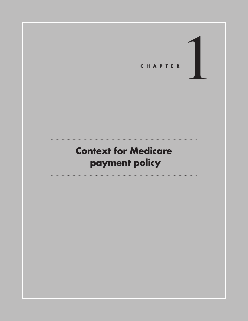

# **Context for Medicare payment policy**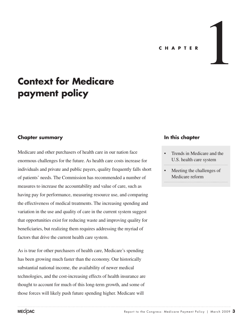#### **C H A PTE R**

1

# **Context for Medicare payment policy**

## **Chapter summary**

Medicare and other purchasers of health care in our nation face enormous challenges for the future. As health care costs increase for individuals and private and public payers, quality frequently falls short of patients' needs. The Commission has recommended a number of measures to increase the accountability and value of care, such as having pay for performance, measuring resource use, and comparing the effectiveness of medical treatments. The increasing spending and variation in the use and quality of care in the current system suggest that opportunities exist for reducing waste and improving quality for beneficiaries, but realizing them requires addressing the myriad of factors that drive the current health care system.

As is true for other purchasers of health care, Medicare's spending has been growing much faster than the economy. Our historically substantial national income, the availability of newer medical technologies, and the cost-increasing effects of health insurance are thought to account for much of this long-term growth, and some of those forces will likely push future spending higher. Medicare will

## **In this chapter**

- Trends in Medicare and the U.S. health care system
- Meeting the challenges of Medicare reform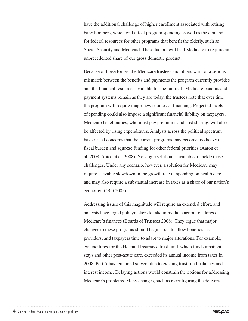have the additional challenge of higher enrollment associated with retiring baby boomers, which will affect program spending as well as the demand for federal resources for other programs that benefit the elderly, such as Social Security and Medicaid. These factors will lead Medicare to require an unprecedented share of our gross domestic product.

Because of these forces, the Medicare trustees and others warn of a serious mismatch between the benefits and payments the program currently provides and the financial resources available for the future. If Medicare benefits and payment systems remain as they are today, the trustees note that over time the program will require major new sources of financing. Projected levels of spending could also impose a significant financial liability on taxpayers. Medicare beneficiaries, who must pay premiums and cost sharing, will also be affected by rising expenditures. Analysts across the political spectrum have raised concerns that the current programs may become too heavy a fiscal burden and squeeze funding for other federal priorities (Aaron et al. 2008, Antos et al. 2008). No single solution is available to tackle these challenges. Under any scenario, however, a solution for Medicare may require a sizable slowdown in the growth rate of spending on health care and may also require a substantial increase in taxes as a share of our nation's economy (CBO 2005).

Addressing issues of this magnitude will require an extended effort, and analysts have urged policymakers to take immediate action to address Medicare's finances (Boards of Trustees 2008). They argue that major changes to these programs should begin soon to allow beneficiaries, providers, and taxpayers time to adapt to major alterations. For example, expenditures for the Hospital Insurance trust fund, which funds inpatient stays and other post-acute care, exceeded its annual income from taxes in 2008. Part A has remained solvent due to existing trust fund balances and interest income. Delaying actions would constrain the options for addressing Medicare's problems. Many changes, such as reconfiguring the delivery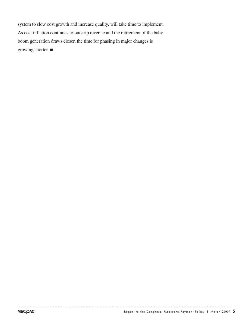system to slow cost growth and increase quality, will take time to implement. As cost inflation continues to outstrip revenue and the retirement of the baby boom generation draws closer, the time for phasing in major changes is growing shorter. ■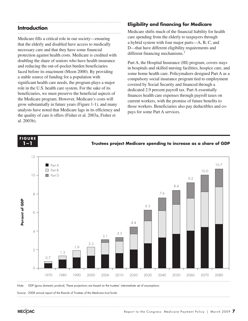#### **Introduction**

**FIGURE F i g ure**

Medicare fills a critical role in our society—ensuring that the elderly and disabled have access to medically necessary care and that they have some financial protection against health costs. Medicare is credited with doubling the share of seniors who have health insurance and reducing the out-of-pocket burden beneficiaries faced before its enactment (Moon 2000). By providing a stable source of funding for a population with significant health care needs, the program plays a major role in the U.S. health care system. For the sake of its beneficiaries, we must preserve the beneficial aspects of the Medicare program. However, Medicare's costs will grow substantially in future years (Figure 1-1), and many analysts have noted that Medicare lags in its efficiency and the quality of care it offers (Fisher et al. 2003a, Fisher et al. 2003b).

# **Eligibility and financing for Medicare**

Medicare shifts much of the financial liability for health care spending from the elderly to taxpayers through a hybrid system with four major parts—A, B, C, and D—that have different eligibility requirements and different financing mechanisms.<sup>1</sup>

Part A, the Hospital Insurance (HI) program, covers stays in hospitals and skilled nursing facilities, hospice care, and some home health care. Policymakers designed Part A as a compulsory social insurance program tied to employment covered by Social Security and financed through a dedicated 2.9 percent payroll tax. Part A essentially finances health care expenses through payroll taxes on current workers, with the promise of future benefits to those workers. Beneficiaries also pay deductibles and copays for some Part A services.



Note: GDP (gross domestic product). These projections are based on the trustees' intermediate set of assumptions. Note: Note and Source are in InDesign.

Source: 2008 annual report of the Boards of Trustees of the Medicare trust funds. ..................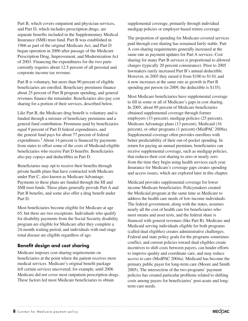Part B, which covers outpatient and physician services, and Part D, which includes prescription drugs, are separate benefits included in the Supplementary Medical Insurance (SMI) trust fund. Part B was established in 1966 as part of the original Medicare Act, and Part D began operation in 2006 after passage of the Medicare Prescription Drug, Improvement, and Modernization Act of 2003. Financing the expenditures for the two parts currently requires about 12.5 percent of all personal and corporate income tax revenue.

Part B is voluntary, but more than 90 percent of eligible beneficiaries are enrolled. Beneficiary premiums finance about 25 percent of Part B program spending, and general revenues finance the remainder. Beneficiaries also pay cost sharing for a portion of their services, described below.

Like Part B, the Medicare drug benefit is voluntary and is funded through a mixture of beneficiary premiums and a general fund contribution. Premiums paid by beneficiaries equal 9 percent of Part D federal expenditures, and the general fund pays for about 77 percent of federal expenditures.<sup>2</sup> About 14 percent is financed by payments from states to offset some of the costs of Medicaid-eligible beneficiaries who receive Part D benefits. Beneficiaries also pay copays and deductibles in Part D.

Beneficiaries may opt to receive their benefits through private health plans that have contracted with Medicare under Part C, also known as Medicare Advantage. Payments to these plans are funded through the HI and SMI trust funds. These plans generally provide Part A and Part B benefits, and some also offer a drug benefit under Part D.

Most beneficiaries become eligible for Medicare at age 65, but there are two exceptions. Individuals who qualify for disability payments from the Social Security disability program are eligible for Medicare after they complete a 24-month waiting period, and individuals with end-stage renal disease are eligible regardless of age.

# **Benefit design and cost sharing**

Medicare imposes cost-sharing requirements on beneficiaries at the point where the patient receives most medical services. Medicare's original benefit package left certain services uncovered; for example, until 2006 Medicare did not cover most outpatient prescription drugs. These factors led most Medicare beneficiaries to obtain

supplemental coverage, primarily through individual medigap policies or employer-based retiree coverage.

The proportion of spending for Medicare-covered services paid through cost sharing has remained fairly stable. Part A cost-sharing requirements generally increased at the same rate as payment updates for Part A services. Cost sharing for many Part B services is proportional to allowed charges (typically 20 percent coinsurance). Prior to 2005 lawmakers rarely increased Part B's annual deductible. However, in 2005 they raised it from \$100 to \$110, and it now increases at the same rate as growth in Part B spending per person (in 2009, the deductible is \$135).

Most Medicare beneficiaries have supplemental coverage to fill in some or all of Medicare's gaps in cost sharing. In 2005, about 89 percent of Medicare beneficiaries obtained supplemental coverage through former employers (33 percent), medigap policies (25 percent), Medicare Advantage plans (13 percent), Medicaid (16 percent), or other programs (1 percent) (MedPAC 2008a). Supplemental coverage often provides enrollees with better predictability of their out-of-pocket spending. In return for paying an annual premium, beneficiaries can receive supplemental coverage, such as medigap policies, that reduces their cost sharing to zero or nearly zero from the time they begin using health services each year. Insurance for Medicare's coverage gaps creates spending and access issues, which are explored later in this chapter.

Medicaid provides supplemental coverage for lower income Medicare beneficiaries. Policymakers created the Medicaid program at the same time as Medicare to address the health care needs of low-income individuals. The federal government, along with the states, assumes nearly all the cost of health care for beneficiaries who meet means and asset tests, and the federal share is financed with general revenues (like Part B). Medicare and Medicaid serving individuals eligible for both programs (called dual eligibles) creates administrative challenges. Federal and state policy goals for the programs sometimes conflict, and current policies toward dual eligibles create incentives to shift costs between payers, can hinder efforts to improve quality and coordinate care, and may reduce access to care (MedPAC 2004a). Medicaid has become the primary public payer for long-term care (Moore and Smith 2005). The intersection of the two programs' payment policies has created particular problems related to shifting costs among payers for beneficiaries' post-acute and longterm care needs.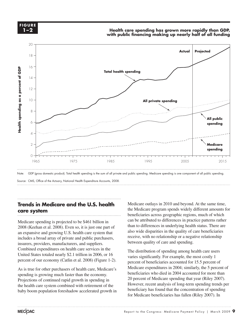

#### **Health care spending has grown more rapidly than GDP, with public financing making up nearly half of all funding**



Source: CMS, Office of the Actuary, National Health Expenditure Accounts, 2008. ..................

#### **Trends in Medicare and the U.S. health** Medicare o **care system Notes about this graph:**  $\overline{\mathbf{y}}$

Medicare spending is projected to be \$461 billion in 2008 (Keehan et al. 2008). Even so, it is just one part of the lines of the lines in underlying health status. There are an expansive and growing U.S. health care system that includes a broad array of private and public purchasers, insurers, providers, manufacturers, and suppliers. moditure, providently, manufacturently, and suppress. United States totaled nearly \$2.1 trillion in 2006, or  $16$  The distribution of spending dinor percent of our economy (Catlin et al. 2008) (Figure 1-2).

As is true for other purchasers of health care, Medicare's spending is growing much faster than the economy. Projections of continued rapid growth in spending in the health care system combined with retirement of the baby boom population foreshadow accelerated growth in

Medicare outlays in 2010 and beyond. At the same time, the Medicare program spends widely different amounts for beneficiaries across geographic regions, much of which are spending is projected to be \$461 billion in can be attributed to differences in practice patterns rather than to differences in underlying health status. There are also wide disparities in the quality of care beneficiaries es a broad array of private and public purchasers exercise, with no relationship or a negative relationship different layer, it is a cross a different layer of patterns sets.<br>the providers manufacturers and suppliers between quality of care and spending.

The distribution of spending among health care users varies significantly. For example, the most costly 1 It of our economy (Catiin et al. 2008) (Figure 1-2). percent of beneficiaries accounted for 15.5 percent of Medicare expenditures in 2004; similarly, the 5 percent of beneficiaries who died in 2004 accounted for more than 20 percent of Medicare spending that year (Riley 2007). However, recent analysis of long-term spending trends per beneficiary has found that the concentration of spending for Medicare beneficiaries has fallen (Riley 2007). In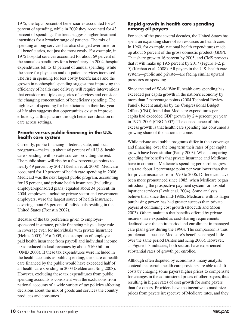1975, the top 5 percent of beneficiaries accounted for 54 percent of spending, while in 2002 they accounted for 43 percent of spending. The trend suggests higher treatment intensities for a broader range of patients. The mix of spending among services has also changed over time for all beneficiaries, not just the most costly. For example, in 1975 hospital services accounted for about 69 percent of the annual expenditures for a beneficiary. In 2004, hospital expenditures fell to 43 percent of annual spending, while the share for physician and outpatient services increased. The rise in spending for less costly beneficiaries and the growth in nonhospital spending suggest that improving the efficiency of health care delivery will require interventions that consider multiple categories of services and consider the changing concentration of beneficiary spending. The high level of spending for beneficiaries in their last year of life also suggests that opportunities exist to improve efficiency at this juncture through better coordination of care across settings.

## **Private versus public financing in the U.S. health care system**

Currently, public financing—federal, state, and local programs—makes up about 46 percent of all U.S. health care spending, with private sources providing the rest. The public share will rise by a few percentage points to nearly 49 percent by 2017 (Keehan et al. 2008). Medicare accounted for 19 percent of health care spending in 2006. Medicaid was the next largest public program, accounting for 15 percent, and private health insurance (including employer-sponsored plans) equaled about 34 percent. In 2004, employers, including private sector and government employers, were the largest source of health insurance, covering about 63 percent of individuals residing in the United States (Fronstin 2007).

Because of the tax preference given to employersponsored insurance, public financing plays a large role in coverage even for individuals with private insurance (Helms  $2005$ ).<sup>3</sup> For 2009, the exemption of employerpaid health insurance from payroll and individual income taxes reduced federal revenues by about \$160 billion (OMB 2008). If these tax expenditures were included in the health accounts as public spending, the share of health care financed by the public would have exceeded half of all health care spending in 2003 (Selden and Sing 2008). However, excluding these tax expenditures from public spending accounts is consistent with the exclusions from national accounts of a wide variety of tax policies affecting decisions about the mix of goods and services the country

# **Rapid growth in health care spending among all payers**

For each of the past several decades, the United States has spent an expanding share of its resources on health care. In 1960, for example, national health expenditures made up about 5 percent of the gross domestic product (GDP). That share grew to 16 percent by 2005, and CMS projects that it will make up 19.5 percent by 2017 (Figure 1-2, p. 9) (Keehan et al. 2008). All payers in the U.S. health care system—public and private—are facing similar upward pressures on spending.

Since the end of World War II, health care spending has exceeded per capita growth in the nation's economy by more than 2 percentage points (2004 Technical Review Panel). Recent analysis by the Congressional Budget Office (CBO) found that Medicare expenditures per capita had exceeded GDP growth by 2.4 percent per year in 1975–2005 (CBO 2007). The consequence of this excess growth is that health care spending has consumed a growing share of the nation's income.

While private and public programs differ in their coverage and financing, over the long term their rates of per capita growth have been similar (Pauly 2003). When comparing spending for benefits that private insurance and Medicare have in common, Medicare's spending per enrollee grew at a rate about 1 percentage point per year lower than that for private insurance from 1970 to 2006. Differences have been more pronounced since 1985, when Medicare began introducing the prospective payment system for hospital inpatient services (Levit et al. 2004). Some analysts believe that, since the mid-1980s, Medicare, with its larger purchasing power, has had greater success than private payers at containing cost growth (Boccutti and Moon 2003). Others maintain that benefits offered by private insurers have expanded as cost-sharing requirements declined over the entire period and enrollment in managed care plans grew during the 1990s. The comparison is thus problematic, because Medicare's benefits changed little over the same period (Antos and King 2003). However, as Figure 1-3 indicates, both sectors have experienced substantial rates of growth per enrollee.

Although often disputed by economists, many analysts contend that certain health care providers are able to shift costs by charging some payers higher prices to compensate for changes in the administered prices of other payers, thus resulting in higher rates of cost growth for some payers than for others. Providers have the incentive to maximize prices from payers irrespective of Medicare rates, and they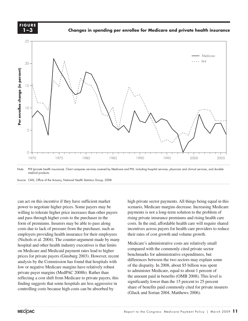**1-3 F i g ure 1–3**

**FIGURE**

**Changes in spending per enrollee for Medicare and private health insurance**

**Changes in spending per enrollee, Medicare and private health insurance**



Note: PHI (private health insurance). Chart compares services covered by Medicare and PHI, including hospital services, physician and clinical services, and durable medical products.

Source: CMS, Office of the Actuary, National Health Statistics Group, 2008. Source:

can act on this incentive if they have sufficient market high private power to negotiate higher prices. Some payers may be willing to tolerate higher prices. Some payers may be seenant willing to tolerate higher price increases than other payers payment and pass through higher costs to the purchaser in the form of premiums. Insurers may be able to pass along costs due to lack of pressure from the purchaser, such as employers providing health insurance for their employees their rates of (Nichols et al. 2004). The counter-argument made by many  $\frac{1}{2}$  is  $\frac{1}{2}$ hospital and other health industry executives is that limits on Medicare and Medicaid payment rates lead to higher on medicate and medicald payment rates read to inglier<br>prices for private payers (Ginsburg 2003). However, recent analysis by the Commission has found that hospitals with differently low or negative Medicare margins have relatively robust <sup>of the</sup> disparity. In 2008, about 30 or private payer margins (MedPAC 2008b). Rather than reflecting a cost shift from Medicare to private payers, this finding suggests that some hospitals are less aggressive in controlling costs because high costs can be absorbed by

high private sector payments. All things being equal in this scenario, Medicare margins decrease. Increasing Medicare payments is not a long-term solution to the problem of s through higher costs to the purchaser in the rising private insurance premiums and rising health care f premiums. Insurers may be able to pass along costs. In the end, affordable health care will require shared incentives across payers for health care providers to reduce their rates of cost growth and volume growth.

Medicare's administrative costs are relatively small a and other health industry executives is that limits<br>dicare and Medicaid payment rates lead to bigher compared with the commonly cited private sector benchmarks for administrative expenditures, but differences between the two sectors may explain some of the disparity. In 2008, about \$5 billion was spent to administer Medicare, equal to about 1 percent of the amount paid in benefits (OMB 2008). This level is significantly lower than the 15 percent to 25 percent share of benefits paid commonly cited for private insurers (Gluck and Sorian 2004, Matthews 2006).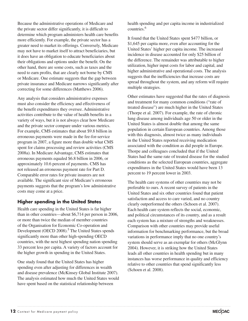Because the administrative operations of Medicare and the private sector differ significantly, it is difficult to determine which program administers health care benefits more efficiently. For example, the private sector has a greater need to market its offerings. Conversely, Medicare may not have to market itself to attract beneficiaries, but it does have an obligation to educate beneficiaries about their obligations and options under the benefit. On the other hand, there are some costs, such as taxes and the need to earn profits, that are clearly not borne by CMS or Medicare. One estimate suggests that the gap between private insurance and Medicare narrows significantly after correcting for some differences (Matthews 2006).

Any analysis that considers administrative expenses must also consider the efficiency and effectiveness of the benefit expenditures they oversee. Administrative activities contribute to the value of health benefits in a variety of ways, but it is not always clear how Medicare and the private sector compare under various metrics. For example, CMS estimates that about \$9.8 billion in erroneous payments were made in the fee-for-service program in 2007, a figure more than double what CMS spent for claims processing and review activities (CMS 2008a). In Medicare Advantage, CMS estimates that erroneous payments equaled \$6.8 billion in 2006, or approximately 10.6 percent of payments. CMS has not released an erroneous payment rate for Part D. Comparable error rates for private insurers are not available. The significant size of Medicare's erroneous payments suggests that the program's low administrative costs may come at a price.

# **Higher spending in the United States**

Health care spending in the United States is far higher than in other countries—about \$6,714 per person in 2006, or more than twice the median of member countries of the Organisation for Economic Co-operation and Development (OECD 2008).<sup>5</sup> The United States spends significantly more than other high-spending OECD countries, with the next highest spending nation spending 33 percent less per capita. A variety of factors account for the higher growth in spending in the United States.

One study found that the United States has higher spending even after adjusting for differences in wealth and disease prevalence (McKinsey Global Institute 2007). The analysis estimated how much the United States would have spent based on the statistical relationship between

health spending and per capita income in industrialized countries.<sup>6</sup>

It found that the United States spent \$477 billion, or \$1,645 per capita more, even after accounting for the United States' higher per capita income. The increased incidence in disease accounted for only \$25 billion of the difference. The remainder was attributable to higher utilization, higher input costs for labor and capital, and higher administrative and operational costs. The analysis suggests that the inefficiencies that increase costs are spread throughout the system, and any reform will require multiple strategies.

Other estimates have suggested that the rates of diagnosis and treatment for many common conditions ("rate of treated disease") are much higher in the United States (Thorpe et al. 2007). For example, the rate of chronic lung disease among individuals age 50 or older in the United States is almost double that among the same population in certain European countries. Among those with this diagnosis, almost twice as many individuals in the United States reported receiving medication associated with the condition as did people in Europe. Thorpe and colleagues concluded that if the United States had the same rate of treated disease for the studied conditions as the selected European countries, aggregate expenditures in the United States would have been 13 percent to 19 percent lower in 2003.

The health care systems of other countries may not be preferable to ours. A recent survey of patients in the United States and six other countries found that patient satisfaction and access to care varied, and no country clearly outperformed the others (Schoen et al. 2007). Each health care system reflects the social, economic, and political circumstances of its country, and as a result each system has a mixture of strengths and weaknesses. Comparison with other countries may provide useful information for benchmarking performance, but the broad variations in performance imply that no one country's system should serve as an exemplar for others (McGlynn 2004). However, it is striking how the United States leads all other countries in health spending but in many instances has worse performance in quality and efficiency relative to other countries that spend significantly less (Schoen et al. 2008).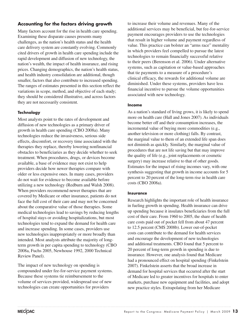# **Accounting for the factors driving growth**

Many factors account for the rise in health care spending. Examining these disparate causes presents many challenges, as the nation's health status and the health care delivery system are constantly evolving. Commonly cited drivers of growth in health care spending include the rapid development and diffusion of new technology, the nation's wealth, the impact of health insurance, and rising prices. Changing demographics, the nation's health status, and health industry consolidation are additional, though smaller, factors that also contribute to increased spending. The ranges of estimates presented in this section reflect the variations in scope, method, and objective of each study; they should be considered illustrative, and across factors they are not necessarily consistent.

# **Technology**

Most analysts point to the rates of development and diffusion of new technologies as a primary driver of growth in health care spending (CBO 2008a). Many technologies reduce the invasiveness, serious side effects, discomfort, or recovery time associated with the therapies they replace, thereby lowering nonfinancial obstacles to beneficiaries as they decide whether to seek treatment. When procedures, drugs, or devices become available, a base of evidence may not exist to help providers decide how newer therapies compare with older or less expensive ones. In many cases, providers do not wait for evidence to become available before utilizing a new technology (Redburn and Walsh 2008). When providers recommend newer therapies that are covered by Medicare or other insurance, patients do not face the full cost of their care and may not be concerned about the comparative value of those therapies. Some medical technologies lead to savings by reducing lengths of hospital stays or avoiding hospitalizations, but most technologies tend to expand the demand for health care and increase spending. In some cases, providers use new technologies inappropriately or more broadly than intended. Most analysts attribute the majority of longterm growth in per capita spending to technology (CBO 2008a, Fuchs 2005, Newhouse 1992, 2000 Technical Review Panel).

The impact of new technology on spending is compounded under fee-for-service payment systems. Because these systems tie reimbursement to the volume of services provided, widespread use of new technologies can create opportunities for providers

to increase their volume and revenues. Many of the additional services may be beneficial, but fee-for-service payment encourages providers to use the technologies that result in higher volume and payment regardless of value. This practice can bolster an "arms race" mentality in which providers feel compelled to pursue the latest technologies to remain financially successful relative to their peers (Berenson et al. 2006). Under alternative systems, such as capitation or value-based approaches that tie payments to a measure of a procedure's clinical efficacy, the rewards for additional volume are diminished. Under these systems, providers have less financial incentive to pursue the volume opportunities associated with new technology.

#### **Income**

As a nation's standard of living grows, it is likely to spend more on health care (Hall and Jones 2007). As individuals become better off and their consumption increases, the incremental value of buying more commodities (e.g., another television or more clothing) falls. By contrast, the marginal value to them of an extended life span does not diminish as quickly. Similarly, the marginal value of procedures that are not life saving but that may improve the quality of life (e.g., joint replacements or cosmetic surgery) may increase relative to that of other goods. Estimates for the impact of rising incomes vary, with one synthesis suggesting that growth in income accounts for 5 percent to 20 percent of the long-term rise in health care costs (CBO 2008a).

#### **Insurance**

Research highlights the important role of health insurance in fueling growth in spending. Health insurance can drive up spending because it insulates beneficiaries from the full cost of their care. From 1960 to 2005, the share of health care costs paid out of pocket fell from about 47 percent to 12.5 percent (CMS 2008b). Lower out-of-pocket costs can contribute to the demand for health services and encourage the development of new technologies and additional treatments. CBO found that 5 percent to 20 percent of long-term growth in spending is due to insurance. However, one analysis found that Medicare had a pronounced effect on hospital spending (Finkelstein 2007). Finkelstein asserts that the broad increase in demand for hospital services that occurred after the start of Medicare led to greater incentives for hospitals to enter markets, purchase new equipment and facilities, and adopt new practice styles. Extrapolating from her Medicare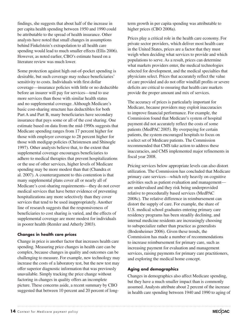findings, she suggests that about half of the increase in per capita health spending between 1950 and 1990 could be attributable to the spread of health insurance. Other analysts have noted that small changes in assumptions behind Finkelstein's extrapolation to all health care spending would lead to much smaller effects (Ellis 2006). However, as noted earlier, CBO's estimate based on a literature review was much lower.

Some protection against high out-of-pocket spending is desirable, but such coverage may reduce beneficiaries' sensitivity to costs. Individuals with first dollar coverage—insurance policies with little or no deductible before an insurer will pay for services—tend to use more services than those with similar health status and no supplemental coverage. Although Medicare's basic cost-sharing structure has deductibles for both Part A and Part B, many beneficiaries have secondary insurance that pays some or all of the cost sharing. One estimate based on data from the mid-1990s suggests that Medicare spending ranges from 17 percent higher for those with employer coverage to 28 percent higher for those with medigap policies (Christensen and Shinogle 1997). Other analysts believe that, to the extent that supplemental coverage encourages beneficiaries to adhere to medical therapies that prevent hospitalizations or the use of other services, higher levels of Medicare spending may be more modest than that (Chandra et al. 2007). A counterargument to this contention is that many supplemental plans cover all or nearly all of Medicare's cost-sharing requirements—they do not cover medical services that have better evidence of preventing hospitalizations any more selectively than they cover services that tend to be used inappropriately. Another line of research suggests that the responsiveness of beneficiaries to cost sharing is varied, and the effects of supplemental coverage are more modest for individuals in poorer health (Remler and Atherly 2003).

## **Changes in health care prices**

Change in price is another factor that increases health care spending. Measuring price changes in health care can be complex, because changes in quality and outcomes can be challenging to measure. For example, new technology may increase the costs of a laboratory test, but the new test may offer superior diagnostic information that was previously unavailable. Simply tracking the price change without factoring in changes in quality offers an incomplete picture. These concerns aside, a recent summary by CBO suggested that between 10 percent and 20 percent of long-

term growth in per capita spending was attributable to higher prices (CBO 2008a).

Prices play a critical role in the health care economy. For private sector providers, which deliver most health care in the United States, prices are a factor that they must weigh when deciding what services to provide and which populations to serve. As a result, prices can determine what markets providers enter, the medical technologies selected for development, and the medical specialties that physicians select. Prices that accurately reflect the value of care provided and do not offer windfall profits or severe deficits are critical to ensuring that health care markets provide the proper amount and mix of services.

The accuracy of prices is particularly important for Medicare, because providers may exploit inaccuracies to improve financial performance. For example, the Commission found that Medicare's system of hospital payment did not accurately reflect the costs of some patients (MedPAC 2005). By overpaying for certain patients, the system encouraged hospitals to focus on a select set of Medicare patients. The Commission recommended that CMS take action to address these inaccuracies, and CMS implemented major refinements in fiscal year 2008.

Pricing services below appropriate levels can also distort utilization. The Commission has concluded that Medicare primary care services—which rely heavily on cognitive activities such as patient evaluation and management are undervalued and they risk being underprovided relative to procedurally based services (MedPAC 2008c). The relative difference in reimbursement can distort the supply of care. For example, the share of U.S. medical school graduates entering primary care residency programs has been steadily declining, and internal medicine residents are increasingly choosing to subspecialize rather than practice as generalists (Bodenheimer 2006). Given these trends, the Commission has made a number of recommendations to increase reimbursement for primary care, such as increasing payment for evaluation and management services, raising payments for primary care practitioners, and exploring the medical home concept.

## **Aging and demographics**

Changes in demographics also affect Medicare spending, but they have a much smaller impact than is commonly assumed. Analysts attribute about 2 percent of the increase in health care spending between 1940 and 1990 to aging of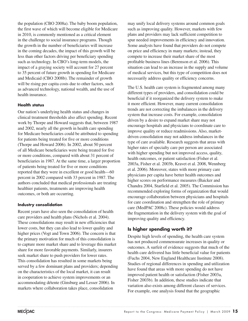the population (CBO 2008a). The baby boom population, the first wave of which will become eligible for Medicare in 2010, is commonly mentioned as a critical element in the challenge to social insurance programs. Though the growth in the number of beneficiaries will increase in the coming decades, the impact of this growth will be less than other factors driving per beneficiary spending such as technology. In CBO's long-term models, the impact of a graying society will account for 27 percent to 35 percent of future growth in spending for Medicare and Medicaid (CBO 2008b). The remainder of growth will be rising per capita costs due to other factors, such as advanced technology, national wealth, and the use of health insurance.

#### **Health status**

Our nation's underlying health status and changes in clinical treatment thresholds also affect spending. Recent work by Thorpe and Howard suggests that, between 1987 and 2002, nearly all the growth in health care spending for Medicare beneficiaries could be attributed to spending for patients being treated for five or more conditions (Thorpe and Howard 2006). In 2002, about 50 percent of all Medicare beneficiaries were being treated for five or more conditions, compared with about 31 percent of beneficiaries in 1987. At the same time, a larger proportion of patients being treated for five or more conditions reported that they were in excellent or good health—60 percent in 2002 compared with 33 percent in 1987. The authors concluded that medical professionals are treating healthier patients, treatments are improving health outcomes, or both are occurring.

#### **Industry consolidation**

Recent years have also seen the consolidation of health care providers and health plans (Nichols et al. 2004). These consolidations may result in new efficiencies that lower costs, but they can also lead to lower quality and higher prices (Vogt and Town 2006). The concern is that the primary motivation for much of this consolidation is to capture more market share and to leverage this market share for more favorable payments. Similarly, insurers seek market share to push providers for lower rates. This consolidation has resulted in some markets being served by a few dominant plans and providers; depending on the characteristics of the local market, it can result in cooperation to achieve system improvements or an accommodating détente (Ginsburg and Lesser 2006). In markets where collaboration takes place, consolidation

may unify local delivery systems around common goals such as improving quality. However, markets with few plans and providers may lack sufficient competition to spur needed improvements in efficiency and innovation. Some analysts have found that providers do not compete on price and efficiency in many markets; instead, they compete to increase their market share of the most profitable business lines (Berenson et al. 2006). This situation can lead to an increase in the supply and volume of medical services, but this type of competition does not necessarily address quality or efficiency concerns.

The U.S. health care system is fragmented among many different types of providers, and consolidation could be beneficial if it reorganized the delivery system to make it more efficient. However, many current consolidation trends are not correcting the imbalances in the delivery system that increase costs. For example, consolidation driven by a desire to expand market share may not encourage hospitals and physicians to coordinate care to improve quality or reduce readmissions. Also, marketdriven consolidation may not address imbalances in the type of care available. Research suggests that areas with higher rates of specialty care per person are associated with higher spending but not improved access, quality, health outcomes, or patient satisfaction (Fisher et al. 2003a, Fisher et al. 2003b, Kravet et al. 2008, Wennberg et al. 2006). Moreover, states with more primary care physicians per capita have better health outcomes and higher scores on performance measures (Baicker and Chandra 2004, Starfield et al. 2005). The Commission has recommended exploring forms of organization that would encourage collaboration between physicians and hospitals for care coordination and strengthen the role of primary care (MedPAC 2008c). These policies would address the fragmentation in the delivery system with the goal of improving quality and efficiency.

# **Is higher spending worth it?**

Despite high levels of spending, the health care system has not produced commensurate increases in quality or outcomes. A surfeit of evidence suggests that much of the health care delivered has little beneficial value for patients (Fuchs 2004, New England Healthcare Institute 2008). Studies of regional differences in spending and utilization have found that areas with more spending do not have improved patient health or satisfaction (Fisher 2003a, Fisher 2003b). In addition, these studies indicate that variation also exists among different classes of services. For example, one analysis found that the geographic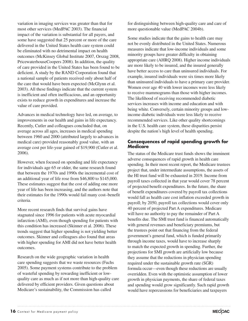variation in imaging services was greater than that for most other services (MedPAC 2003). The financial impact of the variation is substantial for all payers, and some have suggested that 25 percent or more of the care delivered in the United States health care system could be eliminated with no detrimental impact on health outcomes (McKinsey Global Institute 2007, Orszag 2008, PricewaterhouseCoopers 2008). In addition, the quality of care provided in the United States has been found to be deficient. A study by the RAND Corporation found that a national sample of patients received only about half of the care that would have been expected (McGlynn et al. 2003). All these findings indicate that the current system is inefficient and often inefficacious, and an opportunity exists to reduce growth in expenditures and increase the value of care provided.

Advances in medical technology have led, on average, to improvements in our health and gains in life expectancy. Recently, Cutler and colleagues concluded that, on average across all ages, increases in medical spending between 1960 and 2000 (attributed largely to advances in medical care) provided reasonably good value, with an average cost per life-year gained of \$19,900 (Cutler et al. 2006).

However, when focused on spending and life expectancy for individuals age 65 or older, the same research found that between the 1970s and 1990s the incremental cost of an additional year of life rose from \$46,800 to \$145,000. These estimates suggest that the cost of adding one more year of life has been increasing, and the authors note that their estimates for the 1990s would fail many cost–benefit criteria.

More recent research finds that survival gains have stagnated since 1996 for patients with acute myocardial infarction (AMI), even though spending for patients with this condition has increased (Skinner et al. 2006). These trends suggest that higher spending is not yielding better outcomes. Skinner and colleagues also found that areas with higher spending for AMI did not have better health outcomes.

Research on the wide geographic variation in health care spending suggests that we waste resources (Fuchs 2005). Some payment systems contribute to the problem of wasteful spending by rewarding inefficient or lowquality care as much as if not more than high-quality care delivered by efficient providers. Given questions about Medicare's sustainability, the Commission has called

for distinguishing between high-quality care and care of more questionable value (MedPAC 2004b).

Some studies indicate that the gains to health care may not be evenly distributed in the United States. Numerous measures indicate that low-income individuals and some minority groups have greater difficulty in obtaining appropriate care (AHRQ 2008). Higher income individuals are more likely to be insured, and the insured generally have better access to care than uninsured individuals. For example, insured individuals were six times more likely than uninsured individuals to have a primary care provider. Women over age 40 with lower incomes were less likely to receive mammograms than those with higher incomes. The likelihood of receiving recommended diabetic services increases with income and education and with being white. Conversely, certain minority groups and lowincome diabetic individuals were less likely to receive recommended services. Like other quality shortcomings in the U.S. health care system, these disparities persist despite the nation's high level of health spending.

## **Consequences of rapid spending growth for Medicare**

The status of the Medicare trust funds shows the imminent adverse consequences of rapid growth in health care spending. In their most recent report, the Medicare trustees project that, under intermediate assumptions, the assets of the HI trust fund will be exhausted in 2019. Income from payroll taxes collected in that year would cover 78 percent of projected benefit expenditures. In the future, the share of benefit expenditures covered by payroll tax collections would fall as health care cost inflation exceeded growth in payroll; by 2050, payroll tax collections would cover only 40 percent of projected Part A expenditures. Medicare will have no authority to pay the remainder of Part A benefits due. The SMI trust fund is financed automatically with general revenues and beneficiary premiums, but the trustees point out that financing from the federal government's general fund, which is funded primarily through income taxes, would have to increase sharply to match the expected growth in spending. Further, the projections for SMI growth are artificially low because they assume that the reductions in physician spending required under the sustainable growth rate (SGR) formula occur—even though these reductions are usually overridden. Even with the optimistic assumption of lower growth in physician payments, the share of federal taxes and spending would grow significantly. Such rapid growth would have repercussions for beneficiaries and taxpayers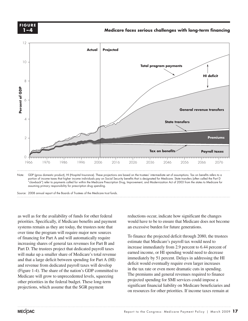**Medicare faces serious challenges with long-term financing FIGURE 1-4 1–4F i g ure**



Note: GDP (gross domestic product), HI (Hospital Insurance). These projections are based on the trustees' intermediate set of assumptions. Tax on benefits refers to a portion of income taxes that higher income individuals pay on Social Security benefits that is designated for Medicare. State transfers (often called the Part D "clawback") refer to payments called for within the Medicare Prescription Drug, Improvement, and Modernization Act of 2003 from the states to Medicare for assuming primary responsibility for prescription drug spending. Source:

Source: 2008 annual report of the Boards of Trustees of the Medicare trust funds.

as well as for the availability of funds for other federal reductions occur, indicate ho priorities. Specifically, if Medicare benefits and payment would have to systems remain as they are today, the trustees note that over time the program will require major new sources **The graph of the graph function did not handle the graph function did not handle the graph function did not handle this well.** of financing for Part A and will automatically require increasing shares of general tax revenues for Part B and Part D. The trustees project that dedicated payroll taxes will make up a smaller share of Medicare's total revenue and that a large deficit between spending for Part A (HI) and revenue from dedicated payroll taxes will develop (Figure 1-4). The share of the nation's GDP committed to Medicare will grow to unprecedented levels, squeezing other priorities in the federal budget. These long-term projections, which assume that the SGR payment

reductions occur, indicate how significant the changes would have to be to ensure that Medicare does not become an excessive burden for future generations.

To finance the projected deficit through 2080, the trustees estimate that Medicare's payroll tax would need to increase immediately from 2.9 percent to 6.44 percent of earned income, or HI spending would need to decrease immediately by 51 percent. Delays in addressing the HI deficit would eventually require even larger increases in the tax rate or even more dramatic cuts in spending. The premiums and general revenues required to finance projected spending for SMI services could impose a significant financial liability on Medicare beneficiaries and on resources for other priorities. If income taxes remain at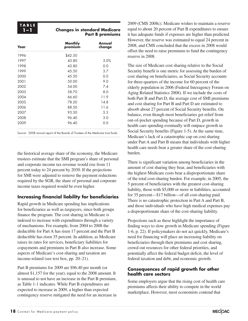# **1–1 Changes in standard Medicare Part B premiums**

| Year | <b>Monthly</b><br>premium | Annual<br>change |  |
|------|---------------------------|------------------|--|
| 1996 | \$42.50                   |                  |  |
| 1997 | 43.80                     | 3.0%             |  |
| 1998 | 43.80                     | 0.0              |  |
| 1999 | 45.50                     | 3.7              |  |
| 2000 | 45.50                     | 0.0              |  |
| 2001 | 50.00                     | 9.0              |  |
| 2002 | 54.00                     | 7.4              |  |
| 2003 | 58.70                     | 8.0              |  |
| 2004 | 66.60                     | 11.9             |  |
| 2005 | 78.20                     | 14.8             |  |
| 2006 | 88.50                     | 11.6             |  |
| 2007 | 93.50                     | 5.3              |  |
| 2008 | 96.40                     | 3.0              |  |
| 2009 | 96.40                     | 0.0              |  |
|      |                           |                  |  |

Source: 2008 annual report of the Boards of Trustees of the Medicare trust funds.

the historical average share of the economy, the Medicare trustees estimate that the SMI program's share of personal and corporate income tax revenue would rise from 11 percent today to 24 percent by 2030. If the projections for SMI were adjusted to remove the payment reductions required by the SGR, the share of personal and corporate income taxes required would be even higher.

# **Increasing financial liability for beneficiaries**

Rapid growth in Medicare spending has implications for beneficiaries as well as taxpayers, since both groups finance the program. The cost sharing in Medicare is indexed to increase with expenditures through a variety of mechanisms. For example, from 2004 to 2008 the deductible for Part A has risen 17 percent and the Part B deductible has risen 35 percent. In addition, as Medicare raises its rates for services, beneficiary liabilities for copayments and premiums in Part B also increase. Some aspects of Medicare's cost-sharing and taxation are income-related (see text box, pp. 20–21).

Part B premiums for 2009 are \$96.40 per month (or almost \$1,157 for the year), equal to the 2008 amount. It is unusual to not have an increase in the Part B premium, as Table 1-1 indicates. While Part B expenditures are expected to increase in 2009, a higher than expected contingency reserve mitigated the need for an increase in

2009 (CMS 2008c). Medicare wishes to maintain a reserve equal to about 20 percent of Part B expenditures to ensure it has adequate funds if expenses are higher than predicted. However, the reserve was estimated to equal 24 percent in 2008, and CMS concluded that the excess in 2008 would offset the need to raise premiums to fund the contingency reserve in 2008.

The size of Medicare cost sharing relative to the Social Security benefit is one metric for assessing the burden of cost sharing on beneficiaries, as Social Security accounts for three-quarters of the income for 60 percent of the elderly population in 2006 (Federal Interagency Forum on Aging Related Statistics 2008). If we include the costs of both Part B and Part D, the average cost of SMI premiums and cost sharing for Part B and Part D are estimated to absorb about 27 percent of Social Security benefits. On balance, even though most beneficiaries get relief from out-of-pocket spending because of Part D, growth in health care spending eventually will outpace growth in Social Security benefits (Figure 1-5). At the same time, Medicare's lack of a catastrophic cap on cost sharing under Part A and Part B means that individuals with higher health care needs bear a greater share of the cost-sharing burden.

There is significant variation among beneficiaries in the amount of cost sharing they bear, and beneficiaries with the highest Medicare costs bear a disproportionate share of the total cost-sharing burden. For example, in 2005, the 5 percent of beneficiaries with the greatest cost-sharing liability, those with \$5,000 or more in liabilities, accounted for 35 percent—\$17 billion—of all cost-sharing paid. There is no catastrophic protection in Part A and Part B, and those individuals who have high medical expenses pay a disproportionate share of the cost-sharing liability.

Projections such as these highlight the importance of finding ways to slow growth in Medicare spending (Figure 1-6, p. 22). If policymakers do not act quickly, Medicare's need for financing will place an increasing liability on beneficiaries through their premiums and cost sharing, crowd out resources for other federal priorities, and potentially affect the federal budget deficit, the level of federal taxation and debt, and economic growth.

# **Consequences of rapid growth for other health care sectors**

Some employers argue that the rising cost of health care premiums affects their ability to compete in the world marketplace. However, most economists contend that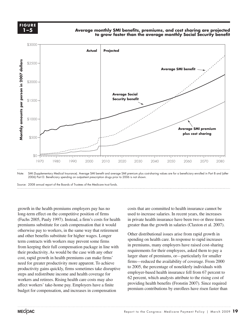**FIGURE 1-5 <sup>F</sup> <sup>i</sup> g ure 1–5**

Average monthly SMI benefits*,* premiums*,* and cost sharing are projected **to grow faster than the average monthly Social Security benefit**



Source: 2008 annual report of the Boards of Trustees of the Medicare trust funds. Source:

growth in the health premiums employers pay has no  $\frac{1}{2}$  long-term effect on the competitive position of firms used to (Fuchs 2005, Pauly 1997). Instead, a firm's costs for health premiums substitute for cash compensation that it would greater that  $\frac{1}{2}$ otherwise pay to workers, in the same way that retirement and other benefits substitute for higher wages. Longer Other distributional i term contracts with workers may prevent some firms spending on nearly care. In response to rapid increases from keeping their full compensation package in line with their productivity. As would be the case with any other  $\frac{1}{\cos \theta}$  reduces (1, 1, 1, 1, 1, 1) would be the case with any other large cost, rapid growth in health premiums can make firms' need for greater productivity more apparent. To achieve productivity gains quickly, firms sometimes take disruptive steps and redistribute income and health coverage for workers and retirees. Rising health care costs may also affect workers' take-home pay. Employers have a finite budget for compensation, and increases in compensation • Data is in the datasheet. Make updates in the datasheet.

costs that are committed to health insurance cannot be used to increase salaries. In recent years, the increases had the private health insurance have been two or three times in 2005, Pauly 1997). Instead, a firm's costs for health in private health insurance have been two or three times greater than the growth in salaries (Claxton et al. 2007).

> Other distributional issues arise from rapid growth in spending on health care. In response to rapid increases in premiums, many employers have raised cost-sharing requirements for their employees, asked them to pay a larger share of premiums, or—particularly for smaller firms—reduced the availability of coverage. From 2000 to 2005, the percentage of nonelderly individuals with employer-based health insurance fell from 67 percent to 62 percent, which analysts attribute to the rising cost of providing health benefits (Fronstin 2007). Since required premium contributions by enrollees have risen faster than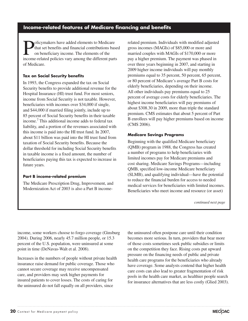# **Income-related features of Medicare financing and benefits**

Dolicymakers have added elements to Medicare<br>that set benefits and financial contributions bas<br>on beneficiary income. The elements of the<br>income related policies you's mong the different perto that set benefits and financial contributions based on beneficiary income. The elements of the income-related policies vary among the different parts of Medicare.

#### **Tax on Social Security benefits**

In 1993, the Congress expanded the tax on Social Security benefits to provide additional revenue for the Hospital Insurance (HI) trust fund. For most seniors, income from Social Security is not taxable. However, beneficiaries with incomes over \$34,000 if single, and \$44,000 if married filing jointly, include up to 85 percent of Social Security benefits in their taxable income.7 This additional income adds to federal tax liability, and a portion of the revenues associated with this income is paid into the HI trust fund. In 2007, about \$11 billion was paid into the HI trust fund from taxation of Social Security benefits. Because the dollar threshold for including Social Security benefits in taxable income is a fixed amount, the number of beneficiaries paying this tax is expected to increase in future years.

#### **Part B income-related premium**

The Medicare Prescription Drug, Improvement, and Modernization Act of 2003 is also a Part B incomerelated premium. Individuals with modified adjusted gross incomes (MAGIs) of \$85,000 or more and married couples with MAGIs of \$170,000 or more pay a higher premium. The payment was phased in over three years beginning in 2007, and starting in 2009 higher income individuals will pay monthly premiums equal to 35 percent, 50 percent, 65 percent, or 80 percent of Medicare's average Part B costs for elderly beneficiaries, depending on their income. All other individuals pay premiums equal to 25 percent of average costs for elderly beneficiaries. The highest income beneficiaries will pay premiums of about \$308.30 in 2009, more than triple the standard premium. CMS estimates that about 5 percent of Part B enrollees will pay higher premiums based on income (CMS 2006).

#### **Medicare Savings Programs**

Beginning with the qualified Medicare beneficiary (QMB) program in 1988, the Congress has created a number of programs to help beneficiaries with limited incomes pay for Medicare premiums and cost sharing. Medicare Savings Programs—including QMB, specified low-income Medicare beneficiary (SLMB), and qualifying individual—have the potential to reduce the financial burden for access to needed medical services for beneficiaries with limited incomes. Beneficiaries who meet income and resource (or asset)

*continued next page*

income, some workers choose to forgo coverage (Ginsburg 2004). During 2006, nearly 45.7 million people, or 15.3 percent of the U.S. population, were uninsured at some point in time (DeNavas-Walt et al. 2008).

Increases in the numbers of people without private health insurance raise demand for public coverage. Those who cannot secure coverage may receive uncompensated care, and providers may seek higher payments for insured patients to cover losses. The costs of caring for the uninsured do not fall equally on all providers, since

the uninsured often postpone care until their condition becomes more serious. In turn, providers that bear more of those costs sometimes seek public subsidies or limits on the competition they face. Rising costs put upward pressure on the financing needs of public and private health care programs for the beneficiaries who already have coverage. Some analysts contend that higher health care costs can also lead to greater fragmentation of risk pools in the health care market, as healthier people search for insurance alternatives that are less costly (Glied 2003).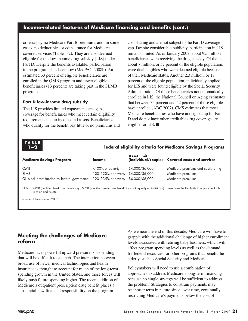# **Income-related features of Medicare financing and benefits (cont.)**

criteria pay no Medicare Part B premiums and, in some cases, no deductibles or coinsurance for Medicarecovered services (Table 1-2). They are also deemed eligible for the low-income drug subsidy (LIS) under Part D. Despite the benefits available, participation in the programs has been low (MedPAC 2008b). An estimated 33 percent of eligible beneficiaries are enrolled in the QMB program and fewer eligible beneficiaries (13 percent) are taking part in the SLMB program.

#### **Part D low-income drug subsidy**

The LIS provides limited copayments and gap coverage for beneficiaries who meet certain eligibility requirements tied to income and assets. Beneficiaries who qualify for the benefit pay little or no premiums and cost sharing and are not subject to the Part D coverage gap. Despite considerable publicity, participation in LIS remains limited. As of January 2007, about 9.5 million beneficiaries were receiving the drug subsidy. Of them, about 7 million, or 57 percent of the eligible population, were dual eligibles who were deemed eligible because of their Medicaid status. Another 2.3 million, or 17 percent of the eligible population, individually applied for LIS and were found eligible by the Social Security Administration. Of those beneficiaries not automatically enrolled in LIS, the National Council on Aging estimates that between 35 percent and 42 percent of those eligible have enrolled (ABC 2007). CMS estimates that most Medicare beneficiaries who have not signed up for Part D and do not have other creditable drug coverage are eligible for LIS. ■

# **T ABL E**

## **1–2 Federal eligibility criteria for Medicare Savings Programs**

| <b>Medicare Savings Program</b>                                                 | Income                              | Asset limit     | (individual/couple) Covered costs and services |
|---------------------------------------------------------------------------------|-------------------------------------|-----------------|------------------------------------------------|
| <b>QMB</b>                                                                      | $<$ 100% of poverty                 | \$4,000/\$6,000 | Medicare premiums and cost-sharing             |
| <b>SLMB</b>                                                                     | 100-120% of poverty \$4,000/\$6,000 |                 | Medicare premiums                              |
| QI-block grant funded by federal government 120-135% of poverty \$4,000/\$6,000 |                                     |                 | Medicare premiums                              |
|                                                                                 |                                     |                 |                                                |

Note: QMB (qualified Medicare beneficiary), SLMB (specified low-income beneficiary), QI (qualifying individual). States have the flexibility to adjust countable income and assets.

Source: Nemore et al. 2006.

## **Meeting the challenges of Medicare reform**

Medicare faces powerful upward pressures on spending that will be difficult to staunch. The interaction between broad use of newer medical technologies and health insurance is thought to account for much of the long-term spending growth in the United States, and those forces will likely push future spending higher. The recent addition of Medicare's outpatient prescription drug benefit places a substantial new financial responsibility on the program.

As we near the end of this decade, Medicare will have to grapple with the additional challenge of higher enrollment levels associated with retiring baby boomers, which will affect program spending levels as well as the demand for federal resources for other programs that benefit the elderly, such as Social Security and Medicaid.

Policymakers will need to use a combination of approaches to address Medicare's long-term financing because no single strategy will be sufficient to address the problem. Strategies to constrain payments may be shorter term in nature since, over time, continually restricting Medicare's payments below the cost of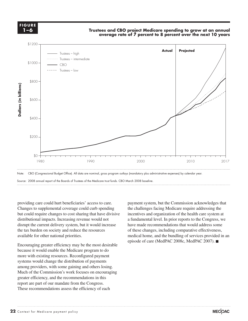**FIGURE F i g ure 1-6 1–6**

#### Trustees and CBO project Medicare spending to grow at an annual **average rate of 7 percent to 8 percent over the next 10 years**



providing care could hurt beneficiaries' access to care. providing care could nuit beneficiaries access to earch. The payment sy<br>Changes to supplemental coverage could curb spending the challeng but could require changes to cost sharing that have divisive incentive distributional impacts. Increasing revenue would not disrupt the current delivery system, but it would increase the tax burden on society and reduce the resources available for other national priorities. every line point and makes it funky.

Encouraging greater efficiency may be the most desirable  $\mathbf{r}$ because it would enable the Medicare program to do more with existing resources. Reconfigured payment systems would change the distribution of payments among providers, with some gaining and others losing. Much of the Commission's work focuses on encouraging greater efficiency, and the recommendations in this report are part of our mandate from the Congress. These recommendations assess the efficiency of each

payment system, but the Commission acknowledges that the challenges facing Medicare require addressing the incentives and organization of the health care system at utional impacts. Increasing revenue would not a fundamental level. In prior reports to the Congress, we have made recommendations that would address some For the cancel commentations that would did a pattern (e.g., including comparative effectiveness, including comparative effectiveness, medical home, and the bundling of services provided in an endical home, and the bundling of services provided in an episode of care (MedPAC 2008c, MedPAC 2007). ■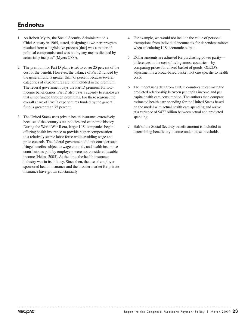# **Endnotes**

- 1 As Robert Myers, the Social Security Administration's Chief Actuary in 1965, stated, designing a two-part program resulted from a "legislative process [that] was a matter of political compromise and was not by any means dictated by actuarial principles" (Myers 2000).
- 2 The premium for Part D plans is set to cover 25 percent of the cost of the benefit. However, the balance of Part D funded by the general fund is greater than 75 percent because several categories of expenditures are not included in the premium. The federal government pays the Part D premium for lowincome beneficiaries. Part D also pays a subsidy to employers that is not funded through premiums. For these reasons, the overall share of Part D expenditures funded by the general fund is greater than 75 percent.
- 3 The United States uses private health insurance extensively because of the country's tax policies and economic history. During the World War II era, larger U.S. companies began offering health insurance to provide higher compensation to a relatively scarce labor force while avoiding wage and price controls. The federal government did not consider such fringe benefits subject to wage controls, and health insurance contributions paid by employers were not considered taxable income (Helms 2005). At the time, the health insurance industry was in its infancy. Since then, the use of employersponsored health insurance and the broader market for private insurance have grown substantially.
- 4 For example, we would not include the value of personal exemptions from individual income tax for dependent minors when calculating U.S. economic output.
- 5 Dollar amounts are adjusted for purchasing power parity differences in the cost of living across countries—by comparing prices for a fixed basket of goods. OECD's adjustment is a broad-based basket, not one specific to health costs.
- 6 The model uses data from OECD countries to estimate the predicted relationship between per capita income and per capita health care consumption. The authors then compare estimated health care spending for the United States based on the model with actual health care spending and arrive at a variance of \$477 billion between actual and predicted spending.
- 7 Half of the Social Security benefit amount is included in determining beneficiary income under these thresholds.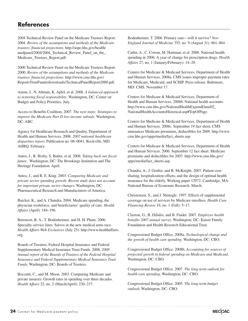# **References**

2004 Technical Review Panel on the Medicare Trustees Report. 2004. *Review of the assumptions and methods of the Medicare trustees' financial projections*. http://aspe.hhs.gov/health/ medpanel/2004/2004\_Technical\_Review\_Panel\_on\_the\_ Medicare\_Trustees\_Report.pdf.

2000 Technical Review Panel on the Medicare Trustees Report. 2000. *Review of the assumptions and methods of the Medicare trustees' financial projections*. http://www.cms.hhs.gov/ ReportsTrustFunds/downloads/TechnicalPanelReport2000.pdf.

Aaron, J., N. Altman, K. Apfel, et al. 2008. *A balanced approach to restoring fiscal responsibility*. Washington, DC: Center on Budget and Policy Priorities. July.

Access to Benefits Coalition. 2007. *The next steps: Strategies to improve the Medicare Part D low-income subsidy*. Washington, DC: ABC.

Agency for Healthcare Research and Quality, Department of Health and Human Services. 2008. *2007 national healthcare disparities report*. Publication no. 08–0041. Rockville, MD: AHRQ. February.

Antos, J., R. Bixby, S. Butler, et al. 2008. *Taking back our fiscal future*. Washington, DC: The Brookings Institution and The Heritage Foundation. April.

Antos, J., and R. E. King. 2003. *Comparing Medicare and private-sector spending growth: Recent study does not account for important private sector changes*. Washington, DC: Pharmaceutical Research and Manufacturers of America.

Baicker, K., and A. Chandra. 2004. Medicare spending, the physician workforce, and beneficiaries' quality of care. *Health Affairs* (April): 184–196.

Berenson, R. A., T. Bodenheimer, and H. H. Pham. 2006. Specialty-service lines: Salvos in the new medical arms race. *Health Affairs Web Exclusives* (July 25). http://www.healthaffairs. org.

Boards of Trustees, Federal Hospital Insurance and Federal Supplementary Medical Insurance Trust Funds. 2008. *2008 Annual report of the Boards of Trustees of the Federal Hospital Insurance and Federal Supplementary Medical Insurance Trust Funds.* Washington, DC: Boards of Trustees.

Boccutti, C., and M. Moon. 2003. Comparing Medicare and private insurers: Growth rates in spending over three decades. *Health Affairs* 22, no. 2 (March/April): 230–237.

Bodenheimer, T. 2006. Primary care—will it survive? *New England Journal of Medicine* 355, no. 9 (August 31): 861–864.

Catlin, A., C. Cowan, M. Hartman, et al. 2008. National health spending in 2006: A year of change for prescription drugs. *Health Affairs* 27, no. 1 (January/February): 14–29.

Centers for Medicare & Medicaid Services, Department of Health and Human Services. 2008a. CMS issues improper payment rates for Medicare, Medicaid, and SCHIP. Press release. Baltimore, MD: CMS. November 17.

Centers for Medicare & Medicaid Services, Department of Health and Human Services. 2008b. National health accounts. http://www.cms.hhs.gov/NationalHealthExpendData/02\_ NationalHealthAccountsHistorical.asp#TopOfPage.

Centers for Medicare & Medicaid Services, Department of Health and Human Services. 2008c. September 19 fact sheet. CMS announces Medicare premiums, deductibles for 2009. http://www. cms.hhs.gov/apps/media/fact\_sheets.asp.

Centers for Medicare & Medicaid Services, Department of Health and Human Services. 2006. September 12 fact sheet. Medicare premiums and deductibles for 2007. http://www.cms.hhs.gov/ apps/media/fact\_sheets.asp.

Chandra, A., J. Gruber, and R. McKnight. 2007. Patient costsharing, hospitalization offsets, and the design of optimal health insurance for the elderly. Working paper 12972. Cambridge, MA: National Bureau of Economic Research. March.

Christensen, S., and J. Shinogle. 1997. Effects of supplemental coverage on use of services by Medicare enrollees. *Health Care Financing Review* 19, no. 1 (Fall): 5–17.

Claxton, G., B. DiJulio, and B. Finder. 2007. *Employee health benefits 2007 annual survey*. Washington, DC: Kaiser Family Foundation and Health Research Educational Trust.

Congressional Budget Office. 2008a. *Technological change and the growth of health care spending*. Washington, DC: CBO.

Congressional Budget Office. 2008b. *Accounting for sources of projected growth in federal spending on Medicare and Medicaid*. Washington, DC: CBO.

Congressional Budget Office. 2007. *The long-term outlook for health care spending.* Washington, DC: CBO.

Congressional Budget Office. 2005. *The long-term budget outlook.* Washington, DC: CBO.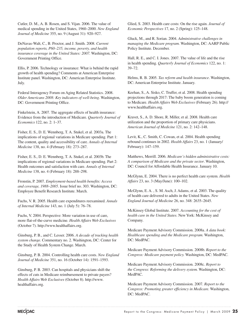Cutler, D. M., A. B. Rosen, and S. Vijan. 2006. The value of medical spending in the United States, 1960–2000. *New England Journal of Medicine* 355, no. 9 (August 31): 920–927.

DeNavas-Walt, C., B. Proctor, and J. Smith. 2008. *Current population reports, P60–235, income, poverty, and health insurance coverage in the United States: 2007.* Washington, DC: Government Printing Office.

Ellis, P. 2006. Technology or insurance: What is behind the rapid growth of health spending? Comments at American Enterprise Institute panel. Washington, DC: American Enterprise Institute. July.

Federal Interagency Forum on Aging Related Statistics. 2008. *Older Americans 2008: Key indicators of well-being*. Washington, DC: Government Printing Office.

Finkelstein, A. 2007. The aggregate effects of health insurance: Evidence from the introduction of Medicare. *Quarterly Journal of Economics* 122, no. 2: 1–37.

Fisher, E. S., D. E. Wennberg, T. A. Stukel, et al. 2003a. The implications of regional variations in Medicare spending. Part 1: The content, quality and accessibility of care. *Annals of Internal Medicine* 138, no. 4 (February 18): 273–287.

Fisher, E. S., D. E. Wennberg, T. A. Stukel, et al. 2003b. The implications of regional variations in Medicare spending. Part 2: Health outcomes and satisfaction with care. *Annals of Internal Medicine* 138, no. 4 (February 18): 288–298.

Fronstin, P. 2007. *Employment-based health benefits: Access and coverage, 1988–2005*. Issue brief no. 303. Washington, DC: Employee Benefit Research Institute. March.

Fuchs, V. R. 2005. Health care expenditures reexamined. *Annals of Internal Medicine* 143, no. 1 (July 5): 76–78.

Fuchs, V. 2004. Perspective: More variation in use of care, more flat-of-the-curve medicine. *Health Affairs Web Exclusives* (October 7). http://www.healthaffairs.org.

Ginsburg, P. B., and C. Lesser. 2006. *A decade of tracking health system change.* Commentary no. 2. Washington, DC: Center for the Study of Health System Change. March.

Ginsburg, P. B. 2004. Controlling health care costs. *New England Journal of Medicine* 351, no. 16 (October 14): 1591–1593.

Ginsburg, P. B. 2003. Can hospitals and physicians shift the effects of cuts in Medicare reimbursement to private payers? *Health Affairs Web Exclusives* (October 8). http://www. healthaffairs.org.

Glied, S. 2003. Health care costs: On the rise again. *Journal of Economic Perspectives* 17, no. 2 (Spring): 125–148.

Gluck, M., and R. Sorian. 2004. *Administrative challenges in managing the Medicare program.* Washington, DC: AARP Public Policy Institute. December.

Hall, R. E., and C. I. Jones. 2007. The value of life and the rise in health spending. *Quarterly Journal of Economics* 122, no. 1: 39–72.

Helms, R. B. 2005. *Tax reform and health insurance*. Washington, DC: American Enterprise Institute. January.

Keehan, S., A. Sisko, C. Truffer, et al. 2008. Health spending projections through 2017: The baby boom generation is coming to Medicare. *Health Affairs Web Exclusives* (February 26). http:// www.healthaffairs.org.

Kravet, S., A. D. Shore, R. Miller, et al. 2008. Health care utilization and the proportion of primary care physicians. *American Journal of Medicine* 121, no. 2: 142–148.

Levit, K., C. Smith, C. Cowan, et al. 2004. Health spending rebound continues in 2002. *Health Affairs* 23, no. 1 (January/ February): 147–159.

Matthews, Merrill. 2006. *Medicare's hidden administrative costs: A comparison of Medicare and the private sector*. Washington, DC: Council for Affordable Health Insurance. January 10.

McGlynn, E. 2004. There is no perfect health care system. *Health Affairs* 23, no. 3 (May/June): 100–102.

McGlynn, E. A. , S. M. Asch, J. Adams, et al. 2003. The quality of health care delivered to adults in the United States. *New England Journal of Medicine* 26, no. 348: 2635–2645.

McKinsey Global Institute. 2007. *Accounting for the cost of health care in the United States*. New York: McKinsey and Company.

Medicare Payment Advisory Commission. 2008a. *A data book: Healthcare spending and the Medicare program.* Washington, DC: MedPAC.

Medicare Payment Advisory Commission. 2008b. *Report to the Congress: Medicare payment policy.* Washington, DC: MedPAC.

Medicare Payment Advisory Commission. 2008c. *Report to the Congress: Reforming the delivery system.* Washington, DC: MedPAC.

Medicare Payment Advisory Commission. 2007. *Report to the Congress: Promoting greater efficiency in Medicare.* Washington, DC: MedPAC.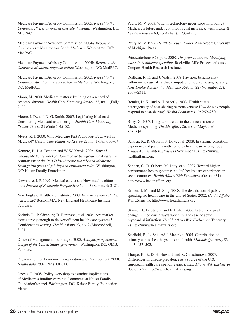Medicare Payment Advisory Commission. 2005. *Report to the Congress: Physician-owned specialty hospitals*. Washington, DC: MedPAC.

Medicare Payment Advisory Commission. 2004a. *Report to the Congress: New approaches in Medicare*. Washington, DC: MedPAC.

Medicare Payment Advisory Commission. 2004b. *Report to the Congress: Medicare payment policy.* Washington, DC: MedPAC.

Medicare Payment Advisory Commission. 2003. *Report to the Congress: Variation and innovation in Medicare*. Washington, DC: MedPAC.

Moon, M. 2000. Medicare matters: Building on a record of accomplishments. *Health Care Financing Review* 22, no. 1 (Fall): 9–22.

Moore, J. D., and D. G. Smith. 2005. Legislating Medicaid: Considering Medicaid and its origin. *Health Care Financing Review* 27, no. 2 (Winter): 45–52.

Myers, R. J. 2000. Why Medicare Part A and Part B, as well as Medicaid? *Health Care Financing Review* 22, no. 1 (Fall): 53–54.

Nemore, P., J. A. Bender, and W. W. Kwok. 2006. *Toward making Medicare work for low-income beneficiaries: A baseline comparison of the Part D low-income subsidy and Medicare Savings Programs eligibility and enrollment rules.* Washington, DC: Kaiser Family Foundation.

Newhouse, J. P. 1992. Medical care costs: How much welfare loss? *Journal of Economic Perspectives* 6, no. 3 (Summer): 3–21.

New England Healthcare Institute. 2008. *How many more studies will it take?* Boston, MA: New England Healthcare Institute. February.

Nichols, L., P. Ginsburg, R. Berenson, et al. 2004. Are market forces strong enough to deliver efficient health care systems? Confidence is waning. *Health Affairs* 23, no. 2 (March/April): 8–21.

Office of Management and Budget. 2008. *Analytic perspectives, budget of the United States government*. Washington, DC: OMB. February.

Organisation for Economic Co-operation and Development. 2008. *Health data 2007.* Paris: OECD.

Orszag, P. 2008. Policy workshop to examine implications of Medicare's funding warning. Comments at Kaiser Family Foundation's panel. Washington, DC: Kaiser Family Foundation. March.

Pauly, M. V. 2003. What if technology never stops improving? Medicare's future under continuous cost increases. *Washington & Lee Law Review* 60, no. 4 (Fall): 1233–1250.

Pauly, M. V. 1997. *Health benefits at work*. Ann Arbor: University of Michigan Press.

PricewaterhouseCoopers. 2008. *The price of excess: Identifying waste in healthcare spending*. Rockville, MD: Pricewaterhouse Coopers Health Research Institute.

Redburn, R. F., and J. Walsh. 2008. Pay now, benefits may follow—the case of cardiac computed tomographic angiography. *New England Journal of Medicine* 359, no. 22 (November 27): 2309–2311.

Remler, D. K., and A. J. Atherly. 2003. Health status heterogeneity of cost-sharing responsiveness: How do sick people respond to cost-sharing? *Health Economics* 12: 269–280.

Riley, G. 2007. Long-term trends in the concentration of Medicare spending. *Health Affairs* 26, no. 2 (May/June): 808–816.

Schoen, K., R. Osborn, S. How, et al. 2008. In chronic condition: experiences of patients with complex health care needs, 2008. *Health Affairs Web Exclusives* (November 13). http://www. healthaffairs.org.

Schoen, C., R. Osborn, M. Doty, et al. 2007. Toward higherperformance health systems: Adults' health care experiences in seven countries. *Health Affairs Web Exclusives* (October 31). http://www.healthaffairs.org.

Selden, T. M., and M. Sing. 2008. The distribution of public spending for health care in the United States, 2002. *Health Affairs Web Exclusive,* http://www.healthaffairs.org.

Skinner, J., D. Staiger, and E. Fisher. 2006. Is technological change in medicine always worth it? The case of acute myocardial infarction. *Health Affairs Web Exclusives* (February 2). http://www.healthaffairs.org.

Starfield, B., L. Shi, and J. Macinko. 2005. Contribution of primary care to health systems and health. *Milbank Quarterly* 83, no. 3: 457–502.

Thorpe, K. E., D. H. Howard, and K. Galactionova. 2007. Differences in disease prevalence as a source of the U.S.– European health care spending gap. *Health Affairs Web Exclusives*  (October 2). http://www.healthaffairs.org.